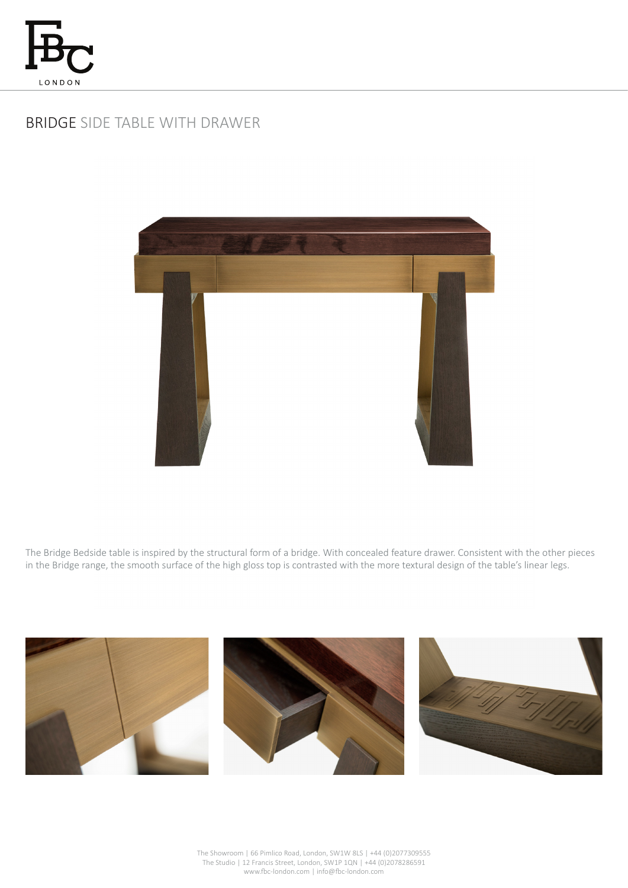

# BRIDGE SIDE TABLE WITH DRAWER



The Bridge Bedside table is inspired by the structural form of a bridge. With concealed feature drawer. Consistent with the other pieces in the Bridge range, the smooth surface of the high gloss top is contrasted with the more textural design of the table's linear legs.